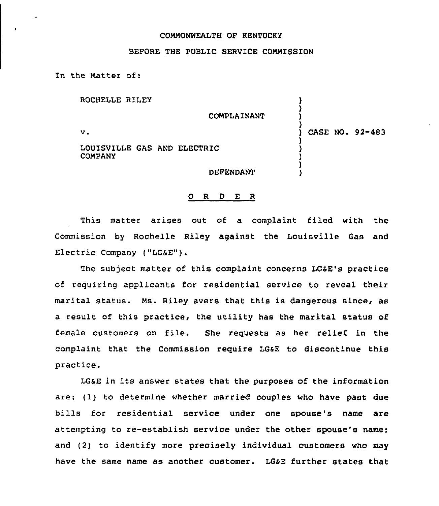## COMMONWEALTH OF KENTUCKY

BEFORE THE PUBLIC SERVICE COMMISSION

In the Matter of:

ROCHELLE RILEY

COMPLAINANT

 $\mathbf{v}$ .

) CASE NO. 92-483

) ) ) )

) ) ) ) )

LOUISVILLE GAS AND ELECTRIC COMPANY

DEFENDANT

## 0 R <sup>D</sup> E <sup>R</sup>

This matter arises out of a complaint filed with the Commission by Rochelle Riley against the Louisville Gas and Electric company ("LOSE").

The subject matter of this complaint concerns LGaE's practice of requiring applicants for residential service to reveal their marital status. Ms. Riley avers that this is dangerous since, as a result of this practice, the utility has the marital status of female customers on file. She requests as her relief in the complaint that the Commission require LGSE to discontinue this practice.

LGSE in its answer states that the purposes of the information are: (1) to determine whether married couples who have past due bills for residential service under one spouse's name are attempting to re-establish service under the other spouse's name; and (2) to identify more precisely individual customers who may have the same name as another customer. LG&E further states that